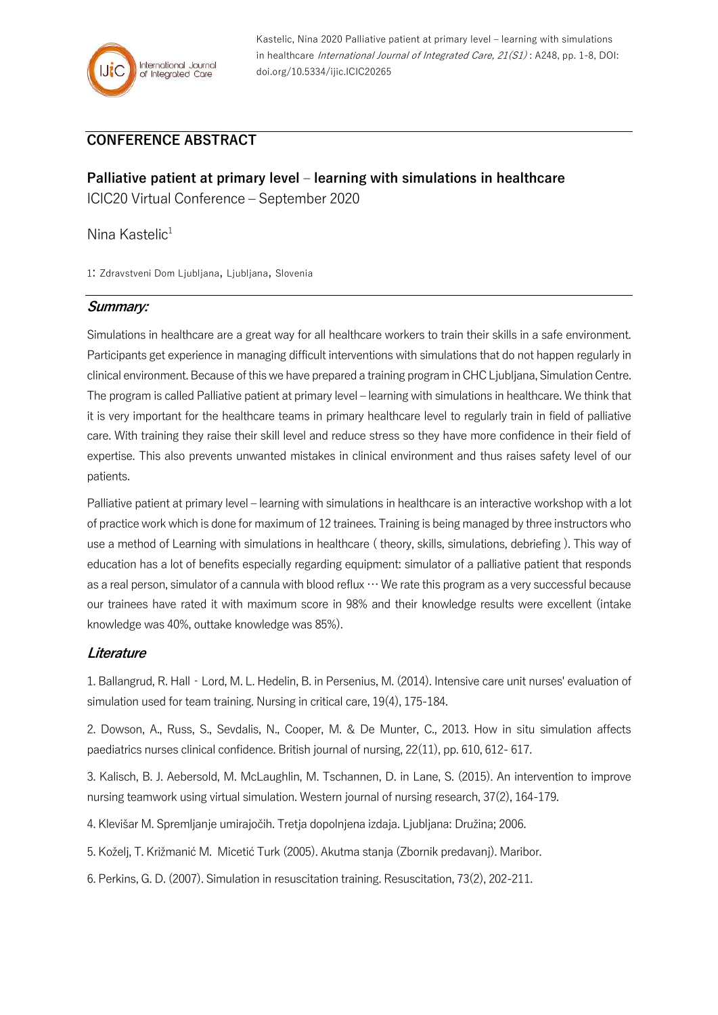

Kastelic, Nina 2020 Palliative patient at primary level – learning with simulations in healthcare International Journal of Integrated Care, 21(S1): A248, pp. 1-8, DOI: doi.org/10.5334/ijic.ICIC20265

## **CONFERENCE ABSTRACT**

**Palliative patient at primary level – learning with simulations in healthcare** ICIC20 Virtual Conference – September 2020

Nina Kastelic<sup>1</sup>

1: Zdravstveni Dom Ljubljana, Ljubljana, Slovenia

## **Summary:**

Simulations in healthcare are a great way for all healthcare workers to train their skills in a safe environment. Participants get experience in managing difficult interventions with simulations that do not happen regularly in clinical environment. Because of this we have prepared a training program in CHC Ljubljana, Simulation Centre. The program is called Palliative patient at primary level – learning with simulations in healthcare. We think that it is very important for the healthcare teams in primary healthcare level to regularly train in field of palliative care. With training they raise their skill level and reduce stress so they have more confidence in their field of expertise. This also prevents unwanted mistakes in clinical environment and thus raises safety level of our patients.

Palliative patient at primary level – learning with simulations in healthcare is an interactive workshop with a lot of practice work which is done for maximum of 12 trainees. Training is being managed by three instructors who use a method of Learning with simulations in healthcare ( theory, skills, simulations, debriefing ). This way of education has a lot of benefits especially regarding equipment: simulator of a palliative patient that responds as a real person, simulator of a cannula with blood reflux  $\cdots$  We rate this program as a very successful because our trainees have rated it with maximum score in 98% and their knowledge results were excellent (intake knowledge was 40%, outtake knowledge was 85%).

## **Literature**

1. Ballangrud, R. Hall‐Lord, M. L. Hedelin, B. in Persenius, M. (2014). Intensive care unit nurses' evaluation of simulation used for team training. Nursing in critical care, 19(4), 175-184.

2. Dowson, A., Russ, S., Sevdalis, N., Cooper, M. & De Munter, C., 2013. How in situ simulation affects paediatrics nurses clinical confidence. British journal of nursing, 22(11), pp. 610, 612- 617.

3. Kalisch, B. J. Aebersold, M. McLaughlin, M. Tschannen, D. in Lane, S. (2015). An intervention to improve nursing teamwork using virtual simulation. Western journal of nursing research, 37(2), 164-179.

4. Klevišar M. Spremljanje umirajočih. Tretja dopolnjena izdaja. Ljubljana: Družina; 2006.

5. Koželj, T. Križmanić M. Micetić Turk (2005). Akutma stanja (Zbornik predavanj). Maribor.

6. Perkins, G. D. (2007). Simulation in resuscitation training. Resuscitation, 73(2), 202-211.